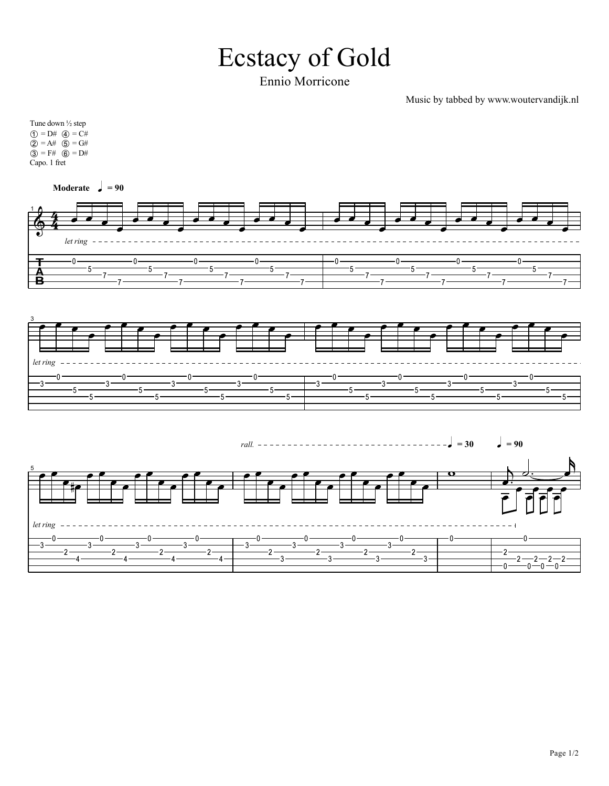## **Ecstacy of Gold**

Ennio Morricone

Music by tabbed by www.woutervandijk.nl